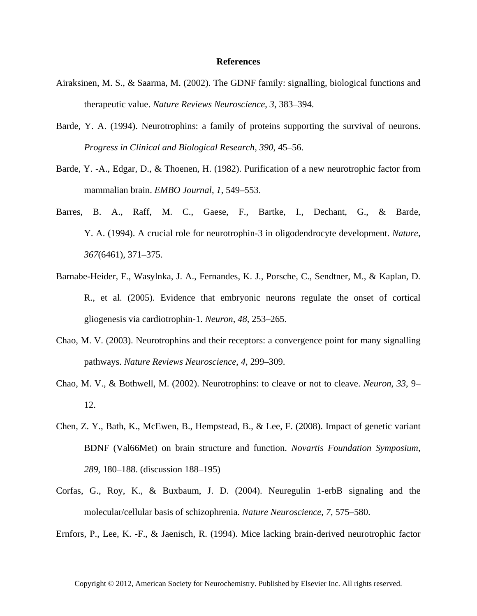## **References**

- Airaksinen, M. S., & Saarma, M. (2002). The GDNF family: signalling, biological functions and therapeutic value. *Nature Reviews Neuroscience*, *3*, 383–394.
- Barde, Y. A. (1994). Neurotrophins: a family of proteins supporting the survival of neurons. *Progress in Clinical and Biological Research*, *390*, 45–56.
- Barde, Y. -A., Edgar, D., & Thoenen, H. (1982). Purification of a new neurotrophic factor from mammalian brain. *EMBO Journal*, *1*, 549–553.
- Barres, B. A., Raff, M. C., Gaese, F., Bartke, I., Dechant, G., & Barde, Y. A. (1994). A crucial role for neurotrophin-3 in oligodendrocyte development. *Nature*, *367*(6461), 371–375.
- Barnabe-Heider, F., Wasylnka, J. A., Fernandes, K. J., Porsche, C., Sendtner, M., & Kaplan, D. R., et al. (2005). Evidence that embryonic neurons regulate the onset of cortical gliogenesis via cardiotrophin-1. *Neuron*, *48*, 253–265.
- Chao, M. V. (2003). Neurotrophins and their receptors: a convergence point for many signalling pathways. *Nature Reviews Neuroscience*, *4*, 299–309.
- Chao, M. V., & Bothwell, M. (2002). Neurotrophins: to cleave or not to cleave. *Neuron*, *33*, 9– 12.
- Chen, Z. Y., Bath, K., McEwen, B., Hempstead, B., & Lee, F. (2008). Impact of genetic variant BDNF (Val66Met) on brain structure and function. *Novartis Foundation Symposium*, *289*, 180–188. (discussion 188–195)
- Corfas, G., Roy, K., & Buxbaum, J. D. (2004). Neuregulin 1-erbB signaling and the molecular/cellular basis of schizophrenia. *Nature Neuroscience*, *7*, 575–580.

Ernfors, P., Lee, K. -F., & Jaenisch, R. (1994). Mice lacking brain-derived neurotrophic factor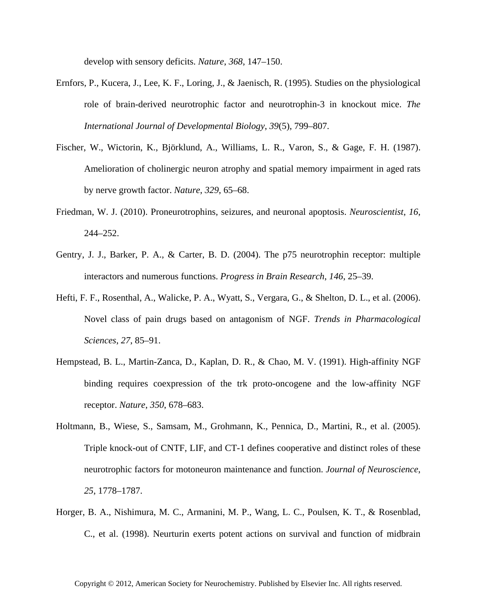develop with sensory deficits. *Nature*, *368*, 147–150.

- Ernfors, P., Kucera, J., Lee, K. F., Loring, J., & Jaenisch, R. (1995). Studies on the physiological role of brain-derived neurotrophic factor and neurotrophin-3 in knockout mice. *The International Journal of Developmental Biology*, *39*(5), 799–807.
- Fischer, W., Wictorin, K., Björklund, A., Williams, L. R., Varon, S., & Gage, F. H. (1987). Amelioration of cholinergic neuron atrophy and spatial memory impairment in aged rats by nerve growth factor. *Nature*, *329*, 65–68.
- Friedman, W. J. (2010). Proneurotrophins, seizures, and neuronal apoptosis. *Neuroscientist*, *16*, 244–252.
- Gentry, J. J., Barker, P. A., & Carter, B. D. (2004). The p75 neurotrophin receptor: multiple interactors and numerous functions. *Progress in Brain Research*, *146*, 25–39.
- Hefti, F. F., Rosenthal, A., Walicke, P. A., Wyatt, S., Vergara, G., & Shelton, D. L., et al. (2006). Novel class of pain drugs based on antagonism of NGF. *Trends in Pharmacological Sciences*, *27*, 85–91.
- Hempstead, B. L., Martin-Zanca, D., Kaplan, D. R., & Chao, M. V. (1991). High-affinity NGF binding requires coexpression of the trk proto-oncogene and the low-affinity NGF receptor. *Nature*, *350*, 678–683.
- Holtmann, B., Wiese, S., Samsam, M., Grohmann, K., Pennica, D., Martini, R., et al. (2005). Triple knock-out of CNTF, LIF, and CT-1 defines cooperative and distinct roles of these neurotrophic factors for motoneuron maintenance and function. *Journal of Neuroscience*, *25*, 1778–1787.
- Horger, B. A., Nishimura, M. C., Armanini, M. P., Wang, L. C., Poulsen, K. T., & Rosenblad, C., et al. (1998). Neurturin exerts potent actions on survival and function of midbrain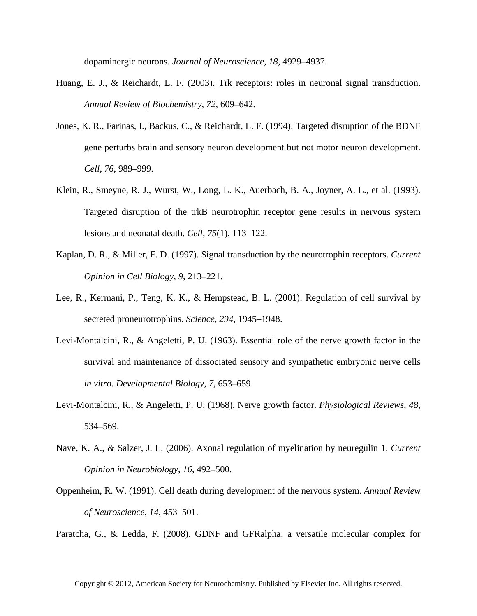dopaminergic neurons. *Journal of Neuroscience*, *18*, 4929–4937.

- Huang, E. J., & Reichardt, L. F. (2003). Trk receptors: roles in neuronal signal transduction. *Annual Review of Biochemistry*, *72*, 609–642.
- Jones, K. R., Farinas, I., Backus, C., & Reichardt, L. F. (1994). Targeted disruption of the BDNF gene perturbs brain and sensory neuron development but not motor neuron development. *Cell*, *76*, 989–999.
- Klein, R., Smeyne, R. J., Wurst, W., Long, L. K., Auerbach, B. A., Joyner, A. L., et al. (1993). Targeted disruption of the trkB neurotrophin receptor gene results in nervous system lesions and neonatal death. *Cell*, *75*(1), 113–122.
- Kaplan, D. R., & Miller, F. D. (1997). Signal transduction by the neurotrophin receptors. *Current Opinion in Cell Biology*, *9*, 213–221.
- Lee, R., Kermani, P., Teng, K. K., & Hempstead, B. L. (2001). Regulation of cell survival by secreted proneurotrophins. *Science*, *294*, 1945–1948.
- Levi-Montalcini, R., & Angeletti, P. U. (1963). Essential role of the nerve growth factor in the survival and maintenance of dissociated sensory and sympathetic embryonic nerve cells *in vitro*. *Developmental Biology*, *7*, 653–659.
- Levi-Montalcini, R., & Angeletti, P. U. (1968). Nerve growth factor. *Physiological Reviews*, *48*, 534–569.
- Nave, K. A., & Salzer, J. L. (2006). Axonal regulation of myelination by neuregulin 1. *Current Opinion in Neurobiology*, *16*, 492–500.
- Oppenheim, R. W. (1991). Cell death during development of the nervous system. *Annual Review of Neuroscience*, *14*, 453–501.

Paratcha, G., & Ledda, F. (2008). GDNF and GFRalpha: a versatile molecular complex for